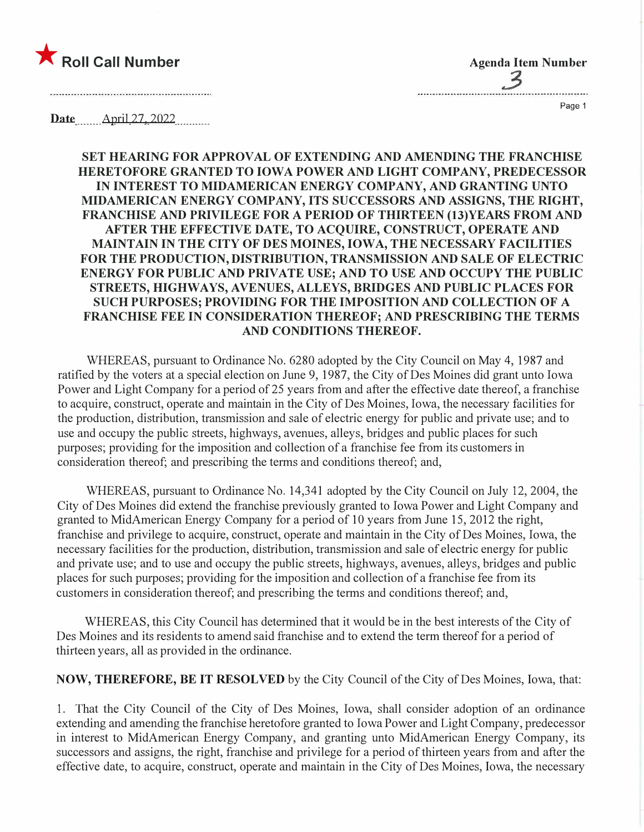

**Agenda Item Number** 

Page 1

Date <u>April 27, 2022</u>

**SET HEARING FOR APPROVAL OF EXTENDING AND AMENDING THE FRANCHISE HERETOFORE GRANTED TO IOWA POWER AND LIGHT COMPANY, PREDECESSOR IN INTEREST TO MIDAMERICAN ENERGY COMPANY, AND GRANTING UNTO MIDAMERICAN ENERGY COMPANY, ITS SUCCESSORS AND ASSIGNS, THE RIGHT, FRANCHISE AND PRIVILEGE FOR A PERIOD OF THIRTEEN (13)YEARS FROM AND AFTER THE EFFECTIVE DATE, TO ACQUIRE, CONSTRUCT, OPERATE AND MAINTAIN IN THE CITY OF DES MOINES, IOWA, THE NECESSARY FACILITIES FOR THE PRODUCTION, DISTRIBUTION, TRANSMISSION AND SALE OF ELECTRIC ENERGY FOR PUBLIC AND PRIVATE USE; AND TO USE AND OCCUPY THE PUBLIC STREETS, HIGHWAYS, A VENUES, ALLEYS, BRIDGES AND PUBLIC PLACES FOR SUCH PURPOSES; PROVIDING FOR THE IMPOSITION AND COLLECTION OF A FRANCHISE FEE IN CONSIDERATION THEREOF; AND PRESCRIBING THE TERMS AND CONDITIONS THEREOF.** 

WHEREAS, pursuant to Ordinance No. 6280 adopted by the City Council on May 4, 1987 and ratified by the voters at a special election on June 9, 1987, the City of Des Moines did grant unto Iowa Power and Light Company for a period of 25 years from and after the effective date thereof, a franchise to acquire, construct, operate and maintain in the City of Des Moines, Iowa, the necessary facilities for the production, distribution, transmission and sale of electric energy for public and private use; and to use and occupy the public streets, highways, avenues, alleys, bridges and public places for such purposes; providing for the imposition and collection of a franchise fee from its customers in consideration thereof; and prescribing the terms and conditions thereof; and,

WHEREAS, pursuant to Ordinance No. 14,341 adopted by the City Council on July 12, 2004, the City of Des Moines did extend the franchise previously granted to Iowa Power and Light Company and granted to MidAmerican Energy Company for a period of 10 years from June 15, 2012 the right, franchise and privilege to acquire, construct, operate and maintain in the City of Des Moines, Iowa, the necessary facilities for the production, distribution, transmission and sale of electric energy for public and private use; and to use and occupy the public streets, highways, avenues, alleys, bridges and public places for such purposes; providing for the imposition and collection of a franchise fee from its customers in consideration thereof; and prescribing the terms and conditions thereof; and,

WHEREAS, this City Council has determined that it would be in the best interests of the City of Des Moines and its residents to amend said franchise and to extend the term thereof for a period of thirteen years, all as provided in the ordinance.

**NOW, THEREFORE, BE IT RESOLVED** by the City Council of the City of Des Moines, Iowa, that:

1. That the City Council of the City of Des Moines, Iowa, shall consider adoption of an ordinance extending and amending the franchise heretofore granted to Iowa Power and Light Company, predecessor in interest to MidAmerican Energy Company, and granting unto MidAmerican Energy Company, its successors and assigns, the right, franchise and privilege for a period of thirteen years from and after the effective date, to acquire, construct, operate and maintain in the City of Des Moines, Iowa, the necessary